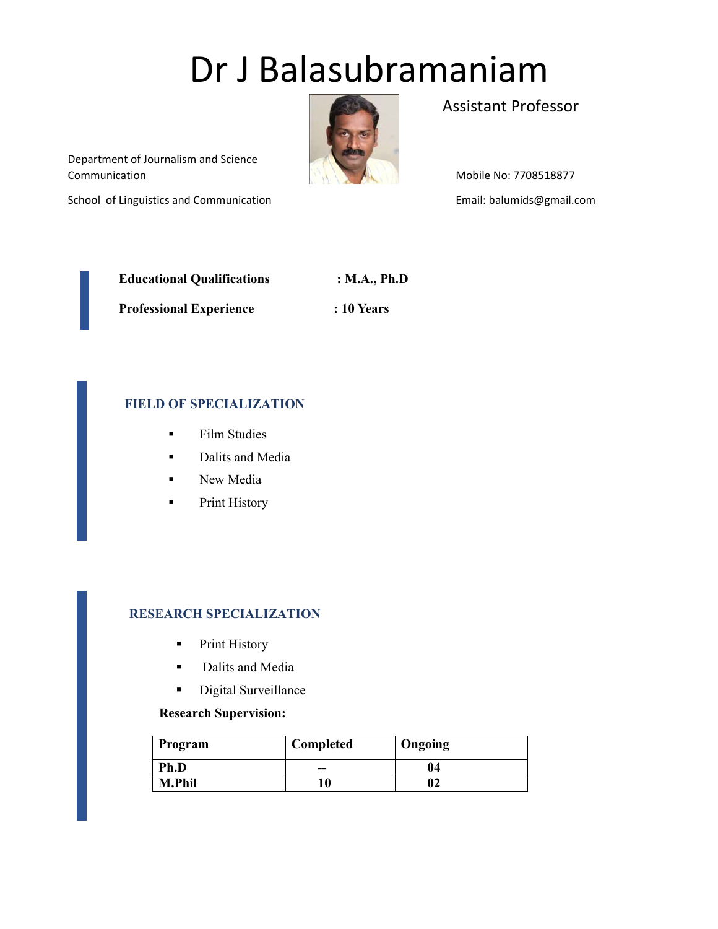# Dr J Balasubramaniam



Assistant Professor

 Communication Department of Journalism and Science

School of Linguistics and Communication

Mobile No: 7708518877 Email: balumids@gmail.com

| <b>Educational Qualifications</b> | : M.A., Ph.D |
|-----------------------------------|--------------|
| <b>Professional Experience</b>    | $: 10$ Years |

# **FIELD OF SPECIALIZATION**

- **Film Studies**
- **Dalits and Media**
- **New Media**
- **Print History**

## **RESEARCH SPECIALIZATION**

- **•** Print History
- **Dalits and Media**
- **Digital Surveillance**

## **Research Supervision:**

| Program       | Completed | Ongoing |
|---------------|-----------|---------|
| Ph.D          | --        | 04      |
| <b>M.Phil</b> | 10        | 92      |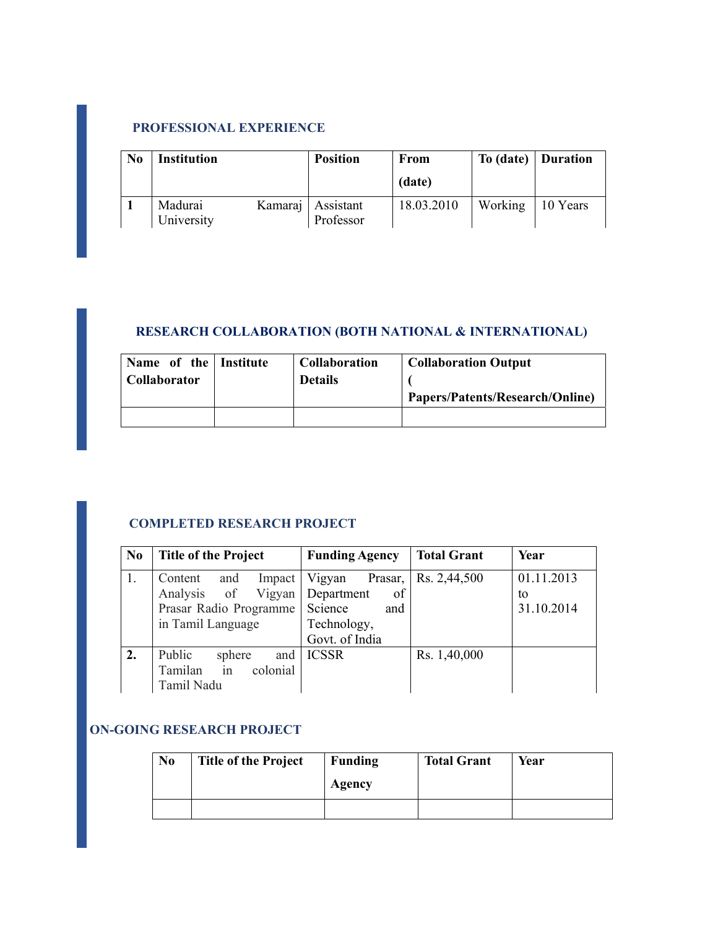# **PROFESSIONAL EXPERIENCE**

| N <sub>0</sub> | <b>Institution</b>    |         | <b>Position</b>        | From       |         | To (date)   Duration |
|----------------|-----------------------|---------|------------------------|------------|---------|----------------------|
|                |                       |         |                        | (date)     |         |                      |
|                | Madurai<br>University | Kamaraj | Assistant<br>Professor | 18.03.2010 | Working | 10 Years             |

# **RESEARCH COLLABORATION (BOTH NATIONAL & INTERNATIONAL)**

| Name of the Institute | <b>Collaboration</b> | <b>Collaboration Output</b>     |
|-----------------------|----------------------|---------------------------------|
| Collaborator          | <b>Details</b>       | Papers/Patents/Research/Online) |
|                       |                      |                                 |

# **COMPLETED RESEARCH PROJECT**

| N <sub>0</sub> | <b>Title of the Project</b>   | <b>Funding Agency</b> | <b>Total Grant</b> | Year       |
|----------------|-------------------------------|-----------------------|--------------------|------------|
| 1.             | Content<br>and<br>Impact      | Vigyan<br>Prasar,     | Rs. 2,44,500       | 01.11.2013 |
|                | Analysis of Vigyan Department | of                    |                    | to         |
|                | Prasar Radio Programme        | Science<br>and        |                    | 31.10.2014 |
|                | in Tamil Language             | Technology,           |                    |            |
|                |                               | Govt. of India        |                    |            |
|                | Public<br>sphere              | and   ICSSR           | Rs. 1,40,000       |            |
|                | colonial<br>Tamilan in        |                       |                    |            |
|                | Tamil Nadu                    |                       |                    |            |

## **ON-GOING RESEARCH PROJECT**

| N <sub>0</sub> | <b>Title of the Project</b> | Funding | <b>Total Grant</b> | Year |
|----------------|-----------------------------|---------|--------------------|------|
|                |                             | Agency  |                    |      |
|                |                             |         |                    |      |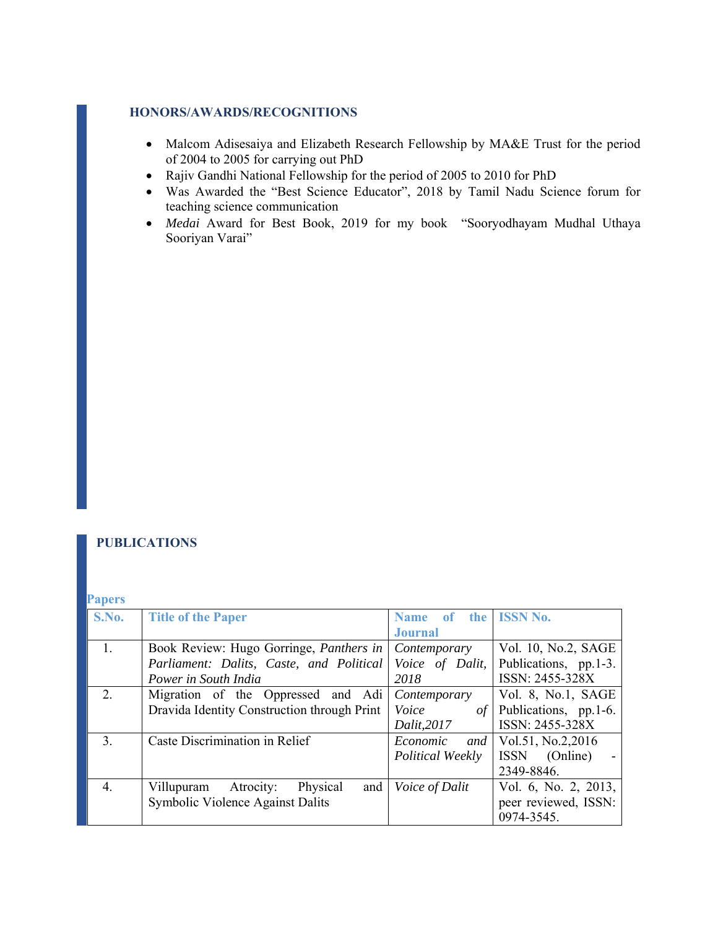#### **HONORS/AWARDS/RECOGNITIONS**

- Malcom Adisesaiya and Elizabeth Research Fellowship by MA&E Trust for the period of 2004 to 2005 for carrying out PhD
- Rajiv Gandhi National Fellowship for the period of 2005 to 2010 for PhD
- Was Awarded the "Best Science Educator", 2018 by Tamil Nadu Science forum for teaching science communication
- *Medai* Award for Best Book, 2019 for my book "Sooryodhayam Mudhal Uthaya Sooriyan Varai"

#### **PUBLICATIONS**

#### **Papers**

| <b>Title of the Paper</b>                   | <b>Name</b>      | of the ISSN No.                                |
|---------------------------------------------|------------------|------------------------------------------------|
|                                             | <b>Journal</b>   |                                                |
| Book Review: Hugo Gorringe, Panthers in     | Contemporary     | Vol. 10, No.2, SAGE                            |
|                                             | Voice of Dalit,  | Publications, pp.1-3.                          |
| Power in South India                        | 2018             | ISSN: 2455-328X                                |
| Migration of the Oppressed and Adi          | Contemporary     | Vol. 8, No.1, SAGE                             |
| Dravida Identity Construction through Print | Voice            | Publications, pp.1-6.                          |
|                                             | Dalit, 2017      | ISSN: 2455-328X                                |
| Caste Discrimination in Relief              | Economic<br>and  | Vol.51, No.2, 2016                             |
|                                             | Political Weekly | (Online)<br><b>ISSN</b>                        |
|                                             |                  | 2349-8846.                                     |
| Physical<br>Atrocity:<br>and<br>Villupuram  | Voice of Dalit   | Vol. 6, No. 2, 2013,                           |
| Symbolic Violence Against Dalits            |                  | peer reviewed, ISSN:                           |
|                                             |                  | 0974-3545.                                     |
|                                             |                  | Parliament: Dalits, Caste, and Political<br>of |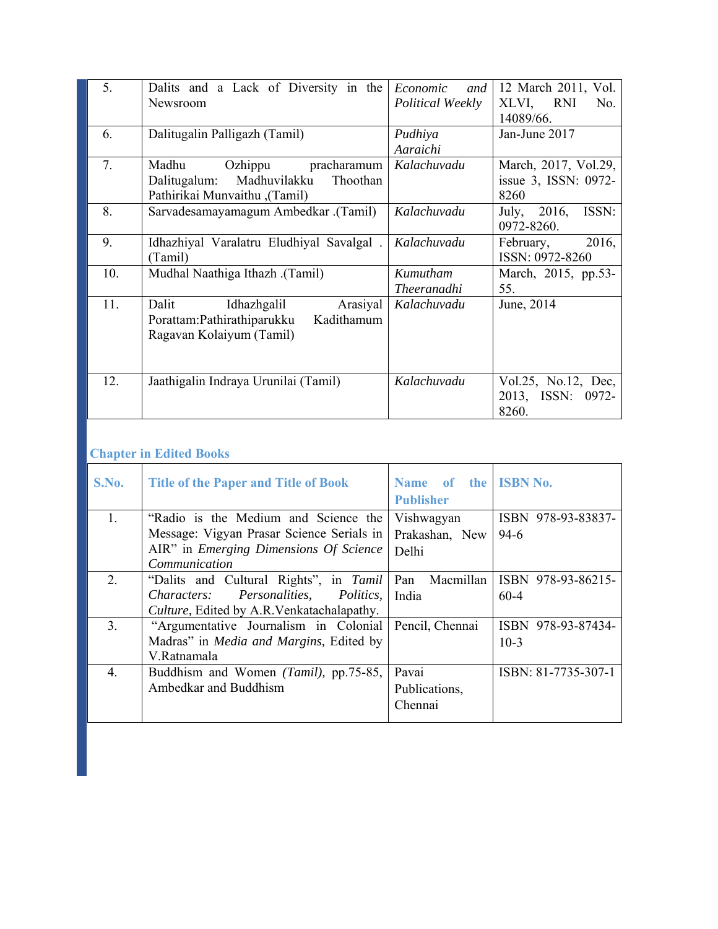| 5.  | Dalits and a Lack of Diversity in the<br>Newsroom                                                            | Economic<br>and<br><i>Political Weekly</i> | 12 March 2011, Vol.<br>RNI<br>XLVI,<br>No.           |
|-----|--------------------------------------------------------------------------------------------------------------|--------------------------------------------|------------------------------------------------------|
| 6.  | Dalitugalin Palligazh (Tamil)                                                                                | Pudhiya<br>Aaraichi                        | 14089/66.<br>Jan-June 2017                           |
| 7.  | Madhu<br>Ozhippu<br>pracharamum<br>Madhuvilakku<br>Thoothan<br>Dalitugalum:<br>(Tamil), Pathirikai Munvaithu | Kalachuvadu                                | March, 2017, Vol.29,<br>issue 3, ISSN: 0972-<br>8260 |
| 8.  | Sarvadesamayamagum Ambedkar .(Tamil)                                                                         | Kalachuvadu                                | 2016,<br>ISSN:<br>July,<br>0972-8260.                |
| 9.  | Idhazhiyal Varalatru Eludhiyal Savalgal.<br>(Tamil)                                                          | Kalachuvadu                                | 2016,<br>February,<br>ISSN: 0972-8260                |
| 10. | (Tamil). Mudhal Naathiga Ithazh                                                                              | Kumutham<br><i>Theeranadhi</i>             | March, 2015, pp.53-<br>55.                           |
| 11. | Arasiyal<br>Dalit<br>Idhazhgalil<br>Porattam: Pathirathiparukku<br>Kadithamum<br>Ragavan Kolaiyum (Tamil)    | Kalachuvadu                                | June, 2014                                           |
| 12. | Jaathigalin Indraya Urunilai (Tamil)                                                                         | Kalachuvadu                                | Vol.25, No.12, Dec,<br>2013, ISSN:<br>0972-<br>8260. |

## **Chapter in Edited Books**

| S.No. | <b>Title of the Paper and Title of Book</b>              | Name of the ISBN No.<br><b>Publisher</b> |                     |
|-------|----------------------------------------------------------|------------------------------------------|---------------------|
| 1.    | "Radio is the Medium and Science the                     | Vishwagyan                               | ISBN 978-93-83837-  |
|       | Message: Vigyan Prasar Science Serials in                | Prakashan, New                           | $94-6$              |
|       | AIR" in <i>Emerging Dimensions Of Science</i>            | Delhi                                    |                     |
|       | Communication                                            |                                          |                     |
| 2.    | "Dalits and Cultural Rights", in Tamil                   | Pan<br>Macmillan                         | ISBN 978-93-86215-  |
|       | <i>Characters:</i><br>Personalities,<br><i>Politics,</i> | India                                    | $60 - 4$            |
|       | Culture, Edited by A.R.Venkatachalapathy.                |                                          |                     |
| 3.    | "Argumentative Journalism in Colonial                    | Pencil, Chennai                          | ISBN 978-93-87434-  |
|       | Madras" in <i>Media and Margins</i> , Edited by          |                                          | $10-3$              |
|       | V.Ratnamala                                              |                                          |                     |
| 4.    | Buddhism and Women (Tamil), pp.75-85,                    | Pavai                                    | ISBN: 81-7735-307-1 |
|       | Ambedkar and Buddhism                                    | Publications,                            |                     |
|       |                                                          | Chennai                                  |                     |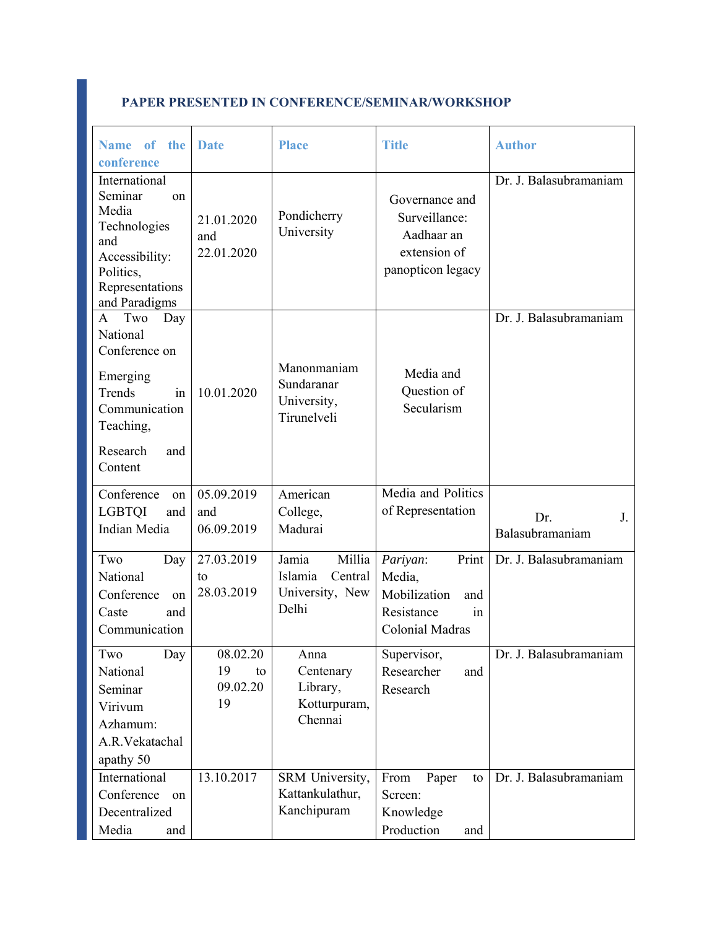| Name of<br>the                                                                                                                               | Date                            | <b>Place</b>                                            | <b>Title</b>                                                                       | <b>Author</b>                |
|----------------------------------------------------------------------------------------------------------------------------------------------|---------------------------------|---------------------------------------------------------|------------------------------------------------------------------------------------|------------------------------|
| conference                                                                                                                                   |                                 |                                                         |                                                                                    |                              |
| International<br>Seminar<br><sub>on</sub><br>Media<br>Technologies<br>and<br>Accessibility:<br>Politics,<br>Representations<br>and Paradigms | 21.01.2020<br>and<br>22.01.2020 | Pondicherry<br>University                               | Governance and<br>Surveillance:<br>Aadhaar an<br>extension of<br>panopticon legacy | Dr. J. Balasubramaniam       |
| A Two<br>Day<br>National<br>Conference on<br>Emerging<br>Trends<br>in<br>Communication<br>Teaching,<br>Research<br>and<br>Content            | 10.01.2020                      | Manonmaniam<br>Sundaranar<br>University,<br>Tirunelveli | Media and<br>Question of<br>Secularism                                             | Dr. J. Balasubramaniam       |
| Conference<br>on                                                                                                                             | 05.09.2019                      | American                                                | Media and Politics                                                                 |                              |
|                                                                                                                                              |                                 |                                                         | of Representation                                                                  |                              |
| <b>LGBTQI</b><br>and<br>Indian Media                                                                                                         | and<br>06.09.2019               | College,<br>Madurai                                     |                                                                                    | J.<br>Dr.<br>Balasubramaniam |
| Two<br>Day                                                                                                                                   | 27.03.2019                      | Millia<br>Jamia                                         | Print<br>Pariyan:                                                                  | Dr. J. Balasubramaniam       |
| National                                                                                                                                     | to                              | Islamia<br>Central                                      | Media,                                                                             |                              |
| Conference<br><sub>on</sub>                                                                                                                  | 28.03.2019                      | University, New                                         | Mobilization<br>and                                                                |                              |
| Caste<br>and                                                                                                                                 |                                 | Delhi                                                   | Resistance<br>in                                                                   |                              |
|                                                                                                                                              |                                 |                                                         |                                                                                    |                              |
| Communication                                                                                                                                |                                 |                                                         | Colonial Madras                                                                    |                              |
| Two<br>Day                                                                                                                                   | 08.02.20                        | Anna                                                    | Supervisor,                                                                        | Dr. J. Balasubramaniam       |
| National                                                                                                                                     | 19<br>to                        | Centenary                                               | Researcher<br>and                                                                  |                              |
| Seminar                                                                                                                                      | 09.02.20                        | Library,                                                | Research                                                                           |                              |
| Virivum                                                                                                                                      | 19                              | Kotturpuram,                                            |                                                                                    |                              |
| Azhamum:                                                                                                                                     |                                 | Chennai                                                 |                                                                                    |                              |
| A.R.Vekatachal                                                                                                                               |                                 |                                                         |                                                                                    |                              |
|                                                                                                                                              |                                 |                                                         |                                                                                    |                              |
| apathy 50                                                                                                                                    |                                 |                                                         |                                                                                    |                              |
| International                                                                                                                                | 13.10.2017                      | SRM University,                                         | Paper<br>From<br>to                                                                | Dr. J. Balasubramaniam       |
| Conference<br>on                                                                                                                             |                                 | Kattankulathur,                                         | Screen:                                                                            |                              |
| Decentralized                                                                                                                                |                                 | Kanchipuram                                             | Knowledge                                                                          |                              |
| Media<br>and                                                                                                                                 |                                 |                                                         | Production<br>and                                                                  |                              |

## **PAPER PRESENTED IN CONFERENCE/SEMINAR/WORKSHOP**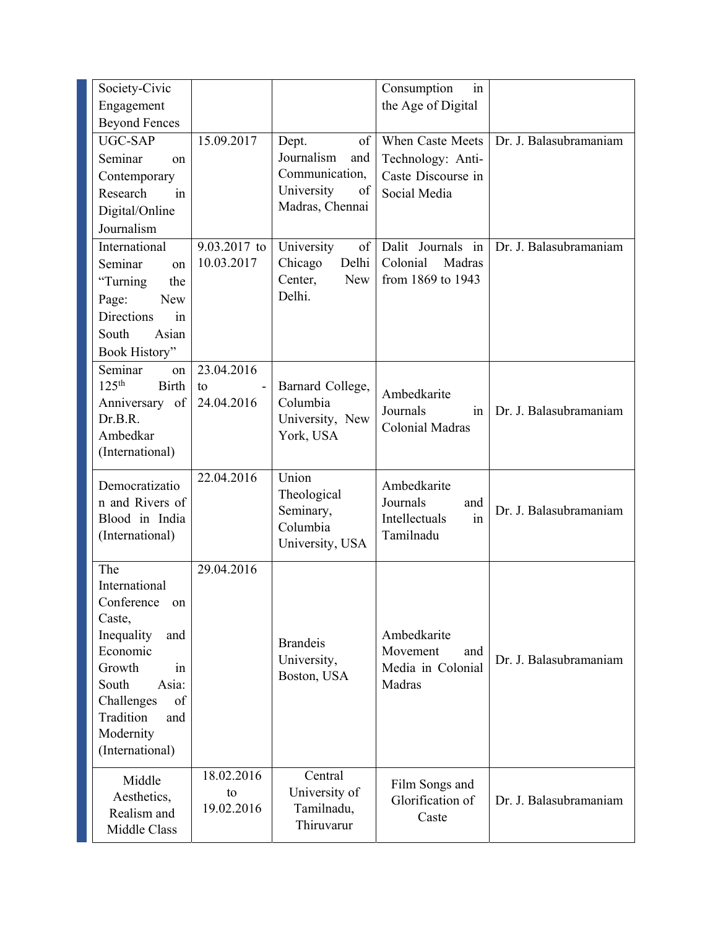| Society-Civic                                                                                                                                                                              |                                |                                                                  | Consumption<br>in                                                  |                        |
|--------------------------------------------------------------------------------------------------------------------------------------------------------------------------------------------|--------------------------------|------------------------------------------------------------------|--------------------------------------------------------------------|------------------------|
| Engagement                                                                                                                                                                                 |                                |                                                                  | the Age of Digital                                                 |                        |
| <b>Beyond Fences</b>                                                                                                                                                                       |                                |                                                                  |                                                                    |                        |
| UGC-SAP                                                                                                                                                                                    | 15.09.2017                     | $\sigma f$<br>Dept.                                              | When Caste Meets                                                   | Dr. J. Balasubramaniam |
| Seminar<br>on                                                                                                                                                                              |                                | Journalism<br>and                                                | Technology: Anti-                                                  |                        |
| Contemporary                                                                                                                                                                               |                                | Communication,                                                   | Caste Discourse in                                                 |                        |
| Research<br>in                                                                                                                                                                             |                                | University<br>of                                                 | Social Media                                                       |                        |
| Digital/Online                                                                                                                                                                             |                                | Madras, Chennai                                                  |                                                                    |                        |
| Journalism                                                                                                                                                                                 |                                |                                                                  |                                                                    |                        |
| International                                                                                                                                                                              | 9.03.2017 to                   | University<br>of                                                 | Dalit Journals in                                                  | Dr. J. Balasubramaniam |
| Seminar<br>on                                                                                                                                                                              | 10.03.2017                     | Delhi<br>Chicago                                                 | Colonial<br>Madras                                                 |                        |
| "Turning<br>the                                                                                                                                                                            |                                | Center,<br><b>New</b>                                            | from 1869 to 1943                                                  |                        |
| <b>New</b><br>Page:                                                                                                                                                                        |                                | Delhi.                                                           |                                                                    |                        |
| <b>Directions</b><br>in                                                                                                                                                                    |                                |                                                                  |                                                                    |                        |
| South<br>Asian                                                                                                                                                                             |                                |                                                                  |                                                                    |                        |
| Book History"                                                                                                                                                                              |                                |                                                                  |                                                                    |                        |
| Seminar<br>on                                                                                                                                                                              | 23.04.2016                     |                                                                  |                                                                    |                        |
| 125 <sup>th</sup><br><b>Birth</b>                                                                                                                                                          | to                             | Barnard College,                                                 |                                                                    |                        |
| Anniversary of                                                                                                                                                                             | 24.04.2016                     | Columbia                                                         | Ambedkarite                                                        |                        |
| Dr.B.R.                                                                                                                                                                                    |                                | University, New                                                  | Journals<br>1n<br><b>Colonial Madras</b>                           | Dr. J. Balasubramaniam |
| Ambedkar                                                                                                                                                                                   |                                | York, USA                                                        |                                                                    |                        |
| (International)                                                                                                                                                                            |                                |                                                                  |                                                                    |                        |
| Democratizatio<br>n and Rivers of<br>Blood in India<br>(International)                                                                                                                     | 22.04.2016                     | Union<br>Theological<br>Seminary,<br>Columbia<br>University, USA | Ambedkarite<br>Journals<br>and<br>Intellectuals<br>in<br>Tamilnadu | Dr. J. Balasubramaniam |
|                                                                                                                                                                                            |                                |                                                                  |                                                                    |                        |
| The<br>International<br>Conference on<br>Caste,<br>Inequality<br>and<br>Economic<br>Growth<br>in<br>Asia:<br>South<br>Challenges<br>of<br>Tradition<br>and<br>Modernity<br>(International) | 29.04.2016                     | <b>Brandeis</b><br>University,<br>Boston, USA                    | Ambedkarite<br>Movement<br>and<br>Media in Colonial<br>Madras      | Dr. J. Balasubramaniam |
| Middle<br>Aesthetics,<br>Realism and<br>Middle Class                                                                                                                                       | 18.02.2016<br>to<br>19.02.2016 | Central<br>University of<br>Tamilnadu,<br>Thiruvarur             | Film Songs and<br>Glorification of<br>Caste                        | Dr. J. Balasubramaniam |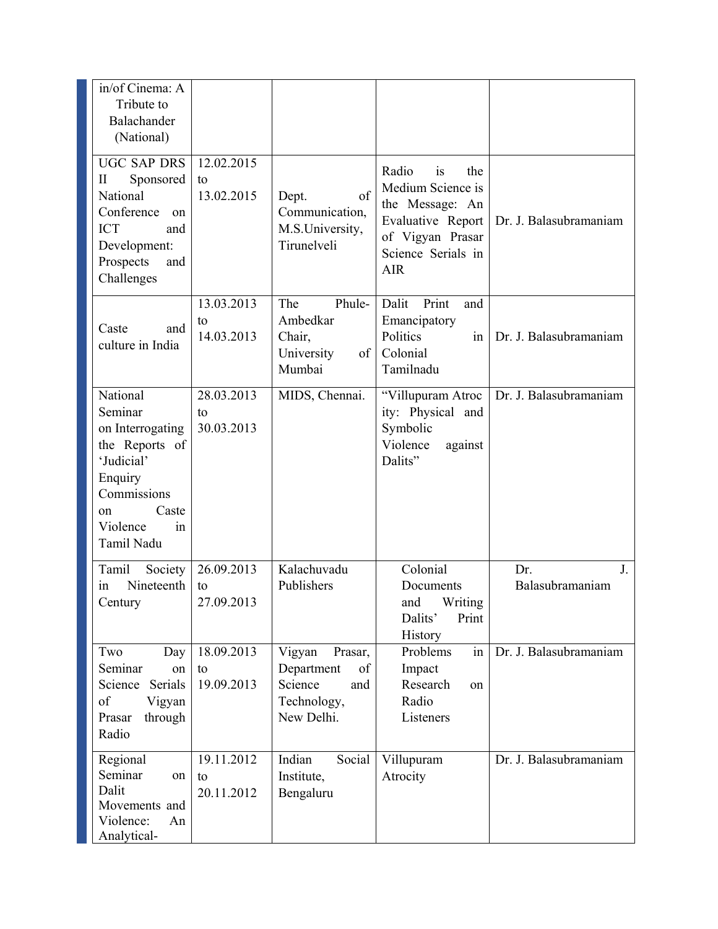| in/of Cinema: A<br>Tribute to<br>Balachander<br>(National)                                                                                       |                                |                                                                                      |                                                                                                                                         |                              |
|--------------------------------------------------------------------------------------------------------------------------------------------------|--------------------------------|--------------------------------------------------------------------------------------|-----------------------------------------------------------------------------------------------------------------------------------------|------------------------------|
| <b>UGC SAP DRS</b><br>Sponsored<br>П<br>National<br>Conference<br>on<br><b>ICT</b><br>and<br>Development:<br>Prospects<br>and<br>Challenges      | 12.02.2015<br>to<br>13.02.2015 | of<br>Dept.<br>Communication,<br>M.S.University,<br>Tirunelveli                      | Radio<br>the<br>is<br>Medium Science is<br>the Message: An<br>Evaluative Report<br>of Vigyan Prasar<br>Science Serials in<br><b>AIR</b> | Dr. J. Balasubramaniam       |
| Caste<br>and<br>culture in India                                                                                                                 | 13.03.2013<br>to<br>14.03.2013 | The<br>Phule-<br>Ambedkar<br>Chair,<br>University<br>of<br>Mumbai                    | Print<br>Dalit<br>and<br>Emancipatory<br>Politics<br>in<br>Colonial<br>Tamilnadu                                                        | Dr. J. Balasubramaniam       |
| National<br>Seminar<br>on Interrogating<br>the Reports of<br>'Judicial'<br>Enquiry<br>Commissions<br>Caste<br>on<br>Violence<br>in<br>Tamil Nadu | 28.03.2013<br>to<br>30.03.2013 | MIDS, Chennai.                                                                       | "Villupuram Atroc<br>ity: Physical and<br>Symbolic<br>Violence<br>against<br>Dalits"                                                    | Dr. J. Balasubramaniam       |
| Tamil<br>Society<br>Nineteenth<br>in<br>Century                                                                                                  | 26.09.2013<br>to<br>27.09.2013 | Kalachuvadu<br>Publishers                                                            | Colonial<br>Documents<br>and Writing<br>Dalits'<br>Print<br>History                                                                     | J.<br>Dr.<br>Balasubramaniam |
| Two<br>Day<br>Seminar<br>on<br>Serials<br>Science<br>of<br>Vigyan<br>through<br>Prasar<br>Radio                                                  | 18.09.2013<br>to<br>19.09.2013 | Vigyan<br>Prasar,<br>of<br>Department<br>Science<br>and<br>Technology,<br>New Delhi. | in<br>Problems<br>Impact<br>Research<br>on<br>Radio<br>Listeners                                                                        | Dr. J. Balasubramaniam       |
| Regional<br>Seminar<br>on<br>Dalit<br>Movements and<br>Violence:<br>An<br>Analytical-                                                            | 19.11.2012<br>to<br>20.11.2012 | Indian<br>Social<br>Institute,<br>Bengaluru                                          | Villupuram<br>Atrocity                                                                                                                  | Dr. J. Balasubramaniam       |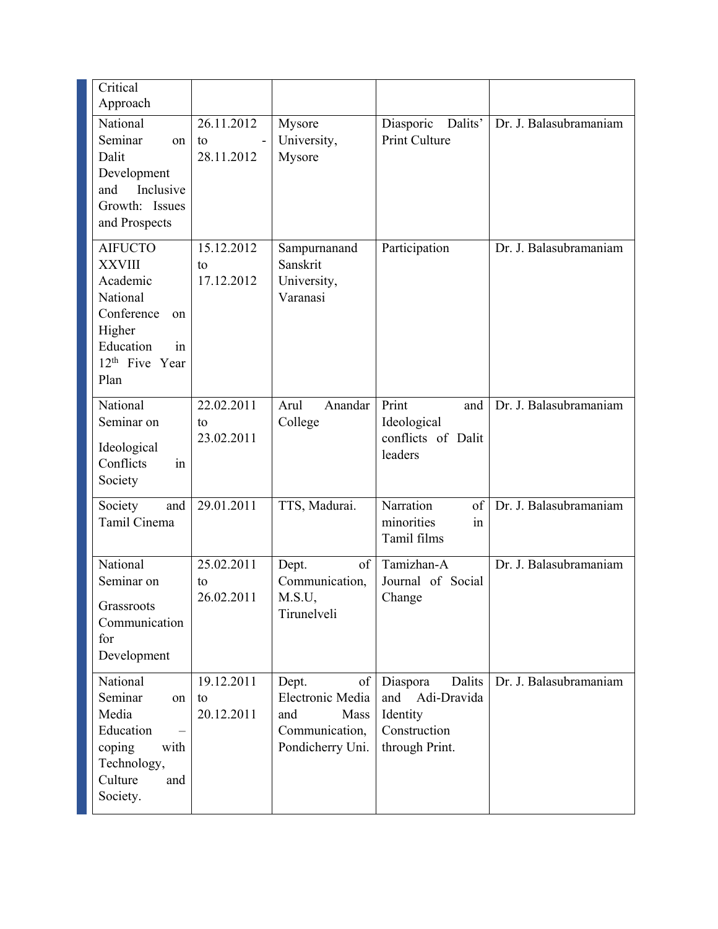| Critical<br>Approach                                                                                                                           |                                |                                                                                      |                                                                                     |                        |
|------------------------------------------------------------------------------------------------------------------------------------------------|--------------------------------|--------------------------------------------------------------------------------------|-------------------------------------------------------------------------------------|------------------------|
| National<br>Seminar<br>on<br>Dalit<br>Development<br>Inclusive<br>and<br>Growth: Issues<br>and Prospects                                       | 26.11.2012<br>to<br>28.11.2012 | Mysore<br>University,<br>Mysore                                                      | Diasporic<br>Dalits'<br>Print Culture                                               | Dr. J. Balasubramaniam |
| <b>AIFUCTO</b><br><b>XXVIII</b><br>Academic<br>National<br>Conference<br>on<br>Higher<br>Education<br>in<br>12 <sup>th</sup> Five Year<br>Plan | 15.12.2012<br>to<br>17.12.2012 | Sampurnanand<br>Sanskrit<br>University,<br>Varanasi                                  | Participation                                                                       | Dr. J. Balasubramaniam |
| National<br>Seminar on<br>Ideological<br>Conflicts<br>in<br>Society                                                                            | 22.02.2011<br>to<br>23.02.2011 | Arul<br>Anandar<br>College                                                           | Print<br>and<br>Ideological<br>conflicts of Dalit<br>leaders                        | Dr. J. Balasubramaniam |
| Society<br>and<br>Tamil Cinema                                                                                                                 | 29.01.2011                     | TTS, Madurai.                                                                        | Narration<br>of<br>minorities<br>in<br>Tamil films                                  | Dr. J. Balasubramaniam |
| National<br>Seminar on<br>Grassroots<br>Communication<br>for<br>Development                                                                    | 25.02.2011<br>to<br>26.02.2011 | of<br>Dept.<br>Communication,<br>M.S.U,<br>Tirunelveli                               | Tamizhan-A<br>Journal of Social<br>Change                                           | Dr. J. Balasubramaniam |
| National<br>Seminar<br>on<br>Media<br>Education<br>coping<br>with<br>Technology,<br>Culture<br>and<br>Society.                                 | 19.12.2011<br>to<br>20.12.2011 | Dept.<br>of<br>Electronic Media<br>and<br>Mass<br>Communication,<br>Pondicherry Uni. | Dalits<br>Diaspora<br>and Adi-Dravida<br>Identity<br>Construction<br>through Print. | Dr. J. Balasubramaniam |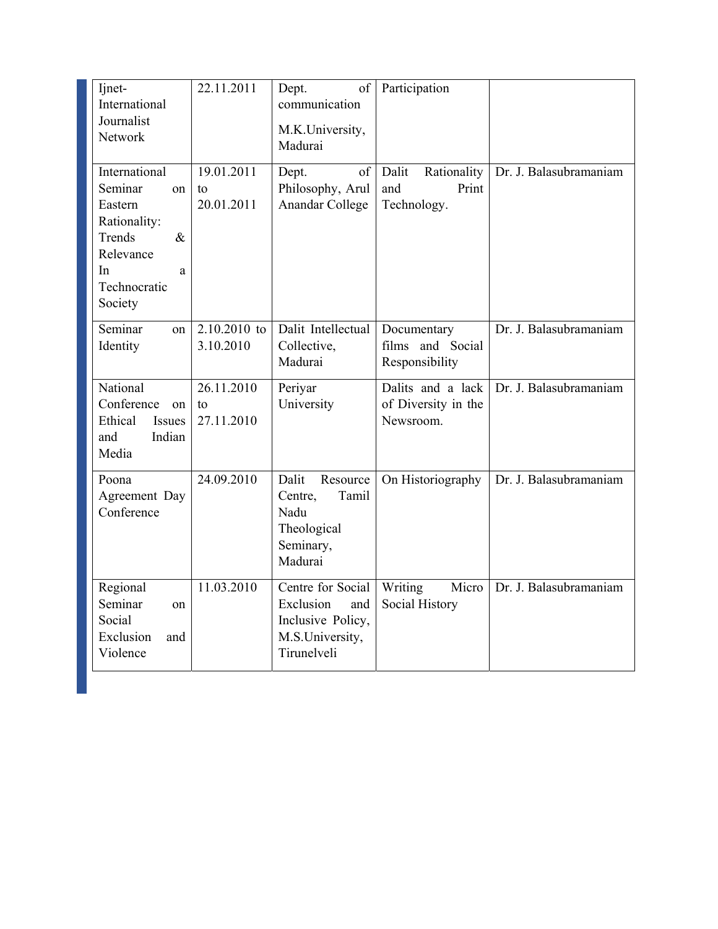| Ijnet-<br>International<br>Journalist<br>Network                                                                             | 22.11.2011                     | of<br>Dept.<br>communication<br>M.K.University,<br>Madurai                                   | Participation                                         |                        |
|------------------------------------------------------------------------------------------------------------------------------|--------------------------------|----------------------------------------------------------------------------------------------|-------------------------------------------------------|------------------------|
| International<br>Seminar<br>on<br>Eastern<br>Rationality:<br>Trends<br>&<br>Relevance<br>In.<br>a<br>Technocratic<br>Society | 19.01.2011<br>to<br>20.01.2011 | of<br>Dept.<br>Philosophy, Arul<br>Anandar College                                           | Rationality<br>Dalit<br>Print<br>and<br>Technology.   | Dr. J. Balasubramaniam |
| Seminar<br>on<br>Identity                                                                                                    | 2.10.2010 to<br>3.10.2010      | Dalit Intellectual<br>Collective,<br>Madurai                                                 | Documentary<br>films and Social<br>Responsibility     | Dr. J. Balasubramaniam |
| National<br>Conference<br>on<br>Ethical<br>Issues<br>and<br>Indian<br>Media                                                  | 26.11.2010<br>to<br>27.11.2010 | Periyar<br>University                                                                        | Dalits and a lack<br>of Diversity in the<br>Newsroom. | Dr. J. Balasubramaniam |
| Poona<br>Agreement Day<br>Conference                                                                                         | 24.09.2010                     | Dalit<br>Resource<br>Tamil<br>Centre,<br>Nadu<br>Theological<br>Seminary,<br>Madurai         | On Historiography                                     | Dr. J. Balasubramaniam |
| Regional<br>Seminar<br>on<br>Social<br>Exclusion<br>and<br>Violence                                                          | 11.03.2010                     | Centre for Social<br>Exclusion<br>and<br>Inclusive Policy,<br>M.S.University,<br>Tirunelveli | Micro<br>Writing<br>Social History                    | Dr. J. Balasubramaniam |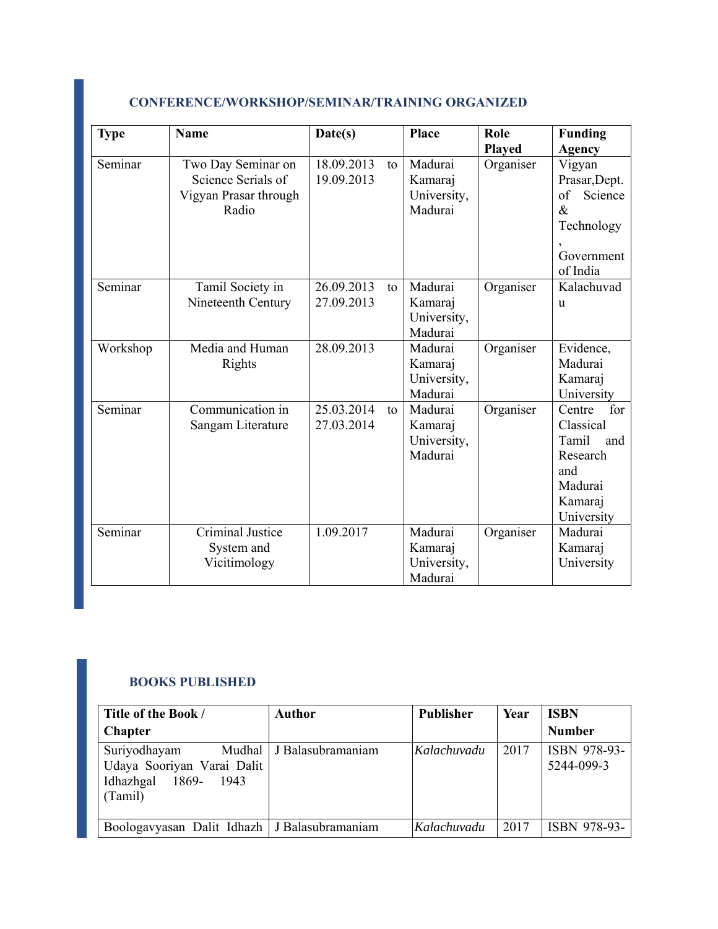| <b>Type</b> | <b>Name</b>                                                                | Date(s)                  |    | Place                                        | Role<br><b>Played</b> | <b>Funding</b><br>Agency                                                                          |
|-------------|----------------------------------------------------------------------------|--------------------------|----|----------------------------------------------|-----------------------|---------------------------------------------------------------------------------------------------|
| Seminar     | Two Day Seminar on<br>Science Serials of<br>Vigyan Prasar through<br>Radio | 18.09.2013<br>19.09.2013 | to | Madurai<br>Kamaraj<br>University,<br>Madurai | Organiser             | Vigyan<br>Prasar, Dept.<br>of<br>Science<br>$\&$<br>Technology<br>Government<br>of India          |
| Seminar     | Tamil Society in<br>Nineteenth Century                                     | 26.09.2013<br>27.09.2013 | to | Madurai<br>Kamaraj<br>University,<br>Madurai | Organiser             | Kalachuvad<br><b>u</b>                                                                            |
| Workshop    | Media and Human<br>Rights                                                  | 28.09.2013               |    | Madurai<br>Kamaraj<br>University,<br>Madurai | Organiser             | Evidence,<br>Madurai<br>Kamaraj<br>University                                                     |
| Seminar     | Communication in<br>Sangam Literature                                      | 25.03.2014<br>27.03.2014 | to | Madurai<br>Kamaraj<br>University,<br>Madurai | Organiser             | Centre<br>for<br>Classical<br>Tamil<br>and<br>Research<br>and<br>Madurai<br>Kamaraj<br>University |
| Seminar     | <b>Criminal Justice</b><br>System and<br>Vicitimology                      | 1.09.2017                |    | Madurai<br>Kamaraj<br>University,<br>Madurai | Organiser             | Madurai<br>Kamaraj<br>University                                                                  |

## **CONFERENCE/WORKSHOP/SEMINAR/TRAINING ORGANIZED**

#### **BOOKS PUBLISHED**

| Title of the Book /                                                                | <b>Author</b>              | Publisher   | Year | <b>ISBN</b>                |
|------------------------------------------------------------------------------------|----------------------------|-------------|------|----------------------------|
| <b>Chapter</b>                                                                     |                            |             |      | <b>Number</b>              |
| Suriyodhayam<br>Udaya Sooriyan Varai Dalit<br>Idhazhgal 1869-<br>- 1943<br>(Tamil) | Mudhal   J Balasubramaniam | Kalachuvadu | 2017 | ISBN 978-93-<br>5244-099-3 |
| Boologavyasan Dalit Idhazh   J Balasubramaniam                                     |                            | Kalachuvadu | 2017 | ISBN 978-93-               |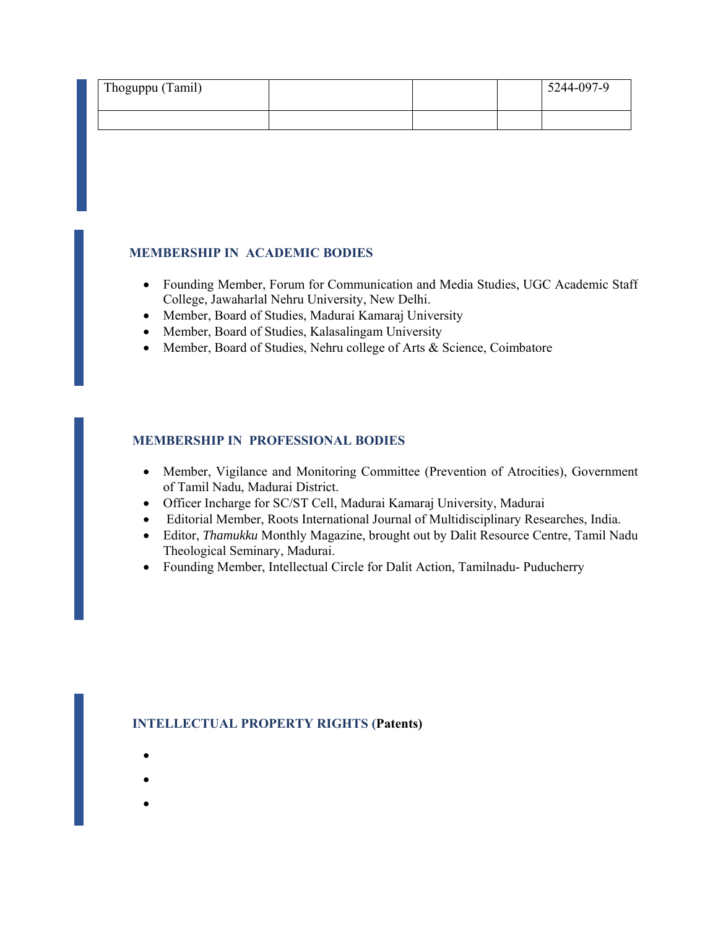| Thoguppu (Tamil) |  | 5244-097-9 |
|------------------|--|------------|
|                  |  |            |

#### **MEMBERSHIP IN ACADEMIC BODIES**

- Founding Member, Forum for Communication and Media Studies, UGC Academic Staff College, Jawaharlal Nehru University, New Delhi.
- Member, Board of Studies, Madurai Kamaraj University
- Member, Board of Studies, Kalasalingam University
- Member, Board of Studies, Nehru college of Arts & Science, Coimbatore

#### **MEMBERSHIP IN PROFESSIONAL BODIES**

- Member, Vigilance and Monitoring Committee (Prevention of Atrocities), Government of Tamil Nadu, Madurai District.
- Officer Incharge for SC/ST Cell, Madurai Kamaraj University, Madurai
- Editorial Member, Roots International Journal of Multidisciplinary Researches, India.
- Editor, *Thamukku* Monthly Magazine, brought out by Dalit Resource Centre, Tamil Nadu Theological Seminary, Madurai.
- Founding Member, Intellectual Circle for Dalit Action, Tamilnadu- Puducherry

#### **INTELLECTUAL PROPERTY RIGHTS (Patents)**

- $\bullet$
- $\bullet$
- 
- $\bullet$